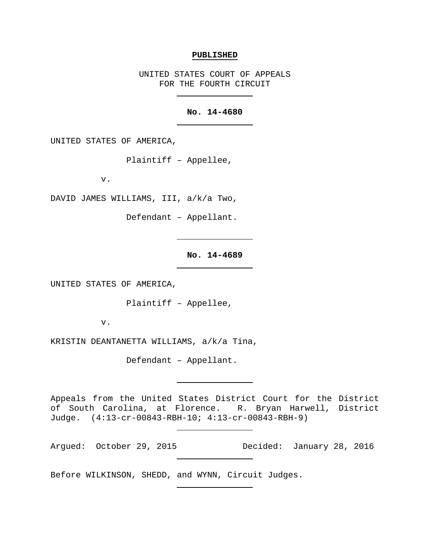## **PUBLISHED**

UNITED STATES COURT OF APPEALS FOR THE FOURTH CIRCUIT

## **No. 14-4680**

UNITED STATES OF AMERICA,

Plaintiff – Appellee,

v.

DAVID JAMES WILLIAMS, III, a/k/a Two,

Defendant – Appellant.

## **No. 14-4689**

UNITED STATES OF AMERICA,

Plaintiff – Appellee,

v.

KRISTIN DEANTANETTA WILLIAMS, a/k/a Tina,

Defendant – Appellant.

Appeals from the United States District Court for the District of South Carolina, at Florence. R. Bryan Harwell, District Judge. (4:13-cr-00843-RBH-10; 4:13-cr-00843-RBH-9)

Argued: October 29, 2015 Decided: January 28, 2016

Before WILKINSON, SHEDD, and WYNN, Circuit Judges.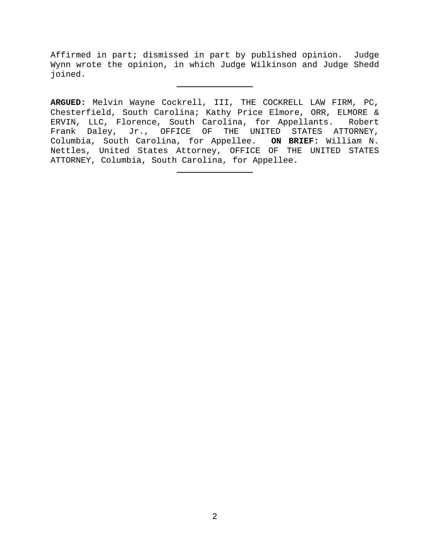Affirmed in part; dismissed in part by published opinion. Judge Wynn wrote the opinion, in which Judge Wilkinson and Judge Shedd joined.

**ARGUED:** Melvin Wayne Cockrell, III, THE COCKRELL LAW FIRM, PC, Chesterfield, South Carolina; Kathy Price Elmore, ORR, ELMORE & ERVIN, LLC, Florence, South Carolina, for Appellants. Robert Frank Daley, Jr., OFFICE OF THE UNITED STATES ATTORNEY, Columbia, South Carolina, for Appellee. **ON BRIEF:** William N. Nettles, United States Attorney, OFFICE OF THE UNITED STATES ATTORNEY, Columbia, South Carolina, for Appellee.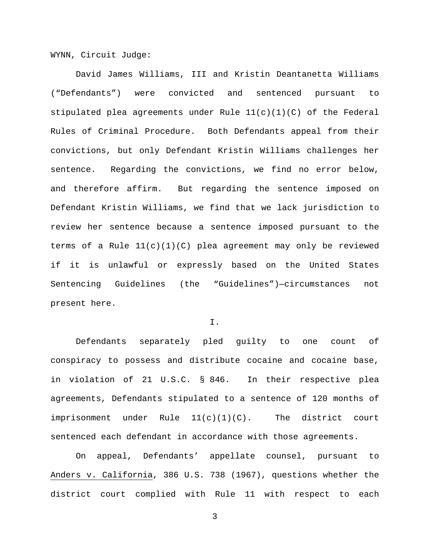WYNN, Circuit Judge:

David James Williams, III and Kristin Deantanetta Williams ("Defendants") were convicted and sentenced pursuant to stipulated plea agreements under Rule  $11(c)(1)(C)$  of the Federal Rules of Criminal Procedure. Both Defendants appeal from their convictions, but only Defendant Kristin Williams challenges her sentence. Regarding the convictions, we find no error below, and therefore affirm. But regarding the sentence imposed on Defendant Kristin Williams, we find that we lack jurisdiction to review her sentence because a sentence imposed pursuant to the terms of a Rule 11(c)(1)(C) plea agreement may only be reviewed if it is unlawful or expressly based on the United States Sentencing Guidelines (the "Guidelines")—circumstances not present here.

I.

Defendants separately pled guilty to one count of conspiracy to possess and distribute cocaine and cocaine base, in violation of 21 U.S.C. § 846. In their respective plea agreements, Defendants stipulated to a sentence of 120 months of imprisonment under Rule  $11(c)(1)(c)$ . The district court sentenced each defendant in accordance with those agreements.

On appeal, Defendants' appellate counsel, pursuant to Anders v. California, 386 U.S. 738 (1967), questions whether the district court complied with Rule 11 with respect to each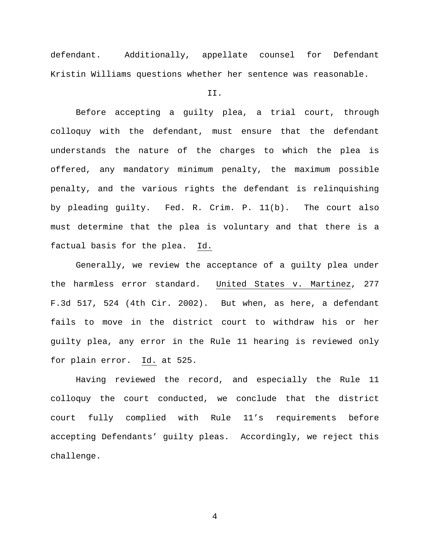defendant. Additionally, appellate counsel for Defendant Kristin Williams questions whether her sentence was reasonable.

## II.

Before accepting a guilty plea, a trial court, through colloquy with the defendant, must ensure that the defendant understands the nature of the charges to which the plea is offered, any mandatory minimum penalty, the maximum possible penalty, and the various rights the defendant is relinquishing by pleading guilty. Fed. R. Crim. P. 11(b). The court also must determine that the plea is voluntary and that there is a factual basis for the plea. Id.

Generally, we review the acceptance of a guilty plea under the harmless error standard. United States v. Martinez, 277 F.3d 517, 524 (4th Cir. 2002). But when, as here, a defendant fails to move in the district court to withdraw his or her guilty plea, any error in the Rule 11 hearing is reviewed only for plain error. Id. at 525.

Having reviewed the record, and especially the Rule 11 colloquy the court conducted, we conclude that the district court fully complied with Rule 11's requirements before accepting Defendants' guilty pleas. Accordingly, we reject this challenge.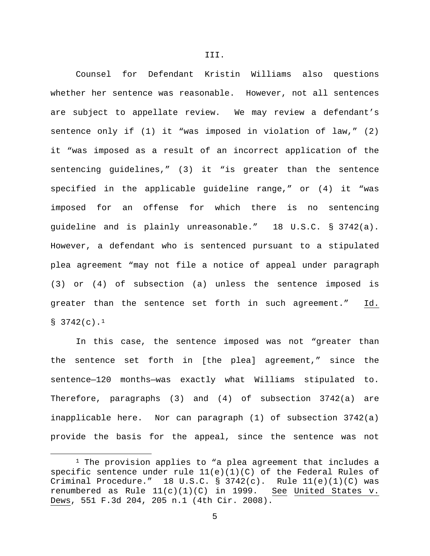Counsel for Defendant Kristin Williams also questions whether her sentence was reasonable. However, not all sentences are subject to appellate review. We may review a defendant's sentence only if (1) it "was imposed in violation of law," (2) it "was imposed as a result of an incorrect application of the sentencing guidelines," (3) it "is greater than the sentence specified in the applicable guideline range," or (4) it "was imposed for an offense for which there is no sentencing guideline and is plainly unreasonable." 18 U.S.C. § 3742(a). However, a defendant who is sentenced pursuant to a stipulated plea agreement "may not file a notice of appeal under paragraph (3) or (4) of subsection (a) unless the sentence imposed is greater than the sentence set forth in such agreement." Id. §  $3742(c)$ .<sup>[1](#page-4-0)</sup>

In this case, the sentence imposed was not "greater than the sentence set forth in [the plea] agreement," since the sentence—120 months—was exactly what Williams stipulated to. Therefore, paragraphs (3) and (4) of subsection 3742(a) are inapplicable here. Nor can paragraph (1) of subsection 3742(a) provide the basis for the appeal, since the sentence was not

 $\overline{\phantom{a}}$ 

<span id="page-4-0"></span> $1$  The provision applies to "a plea agreement that includes a specific sentence under rule  $11(e)(1)(C)$  of the Federal Rules of Criminal Procedure." 18 U.S.C. § 3742(c). Rule  $11(e)(1)(C)$  was renumbered as Rule  $11(c)(1)(C)$  in 1999. See United States v. Dews, 551 F.3d 204, 205 n.1 (4th Cir. 2008).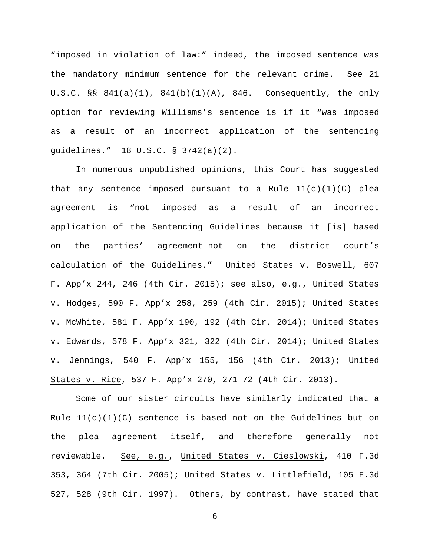"imposed in violation of law:" indeed, the imposed sentence was the mandatory minimum sentence for the relevant crime. See 21 U.S.C. §§ 841(a)(1), 841(b)(1)(A), 846. Consequently, the only option for reviewing Williams's sentence is if it "was imposed as a result of an incorrect application of the sentencing guidelines." 18 U.S.C. § 3742(a)(2).

In numerous unpublished opinions, this Court has suggested that any sentence imposed pursuant to a Rule  $11(c)(1)(C)$  plea agreement is "not imposed as a result of an incorrect application of the Sentencing Guidelines because it [is] based on the parties' agreement—not on the district court's calculation of the Guidelines." United States v. Boswell, 607 F. App'x 244, 246 (4th Cir. 2015); see also, e.g., United States v. Hodges, 590 F. App'x 258, 259 (4th Cir. 2015); United States v. McWhite, 581 F. App'x 190, 192 (4th Cir. 2014); United States v. Edwards, 578 F. App'x 321, 322 (4th Cir. 2014); United States v. Jennings, 540 F. App'x 155, 156 (4th Cir. 2013); United States v. Rice, 537 F. App'x 270, 271–72 (4th Cir. 2013).

Some of our sister circuits have similarly indicated that a Rule  $11(c)(1)(C)$  sentence is based not on the Guidelines but on the plea agreement itself, and therefore generally not reviewable. See, e.g., United States v. Cieslowski, 410 F.3d 353, 364 (7th Cir. 2005); United States v. Littlefield, 105 F.3d 527, 528 (9th Cir. 1997). Others, by contrast, have stated that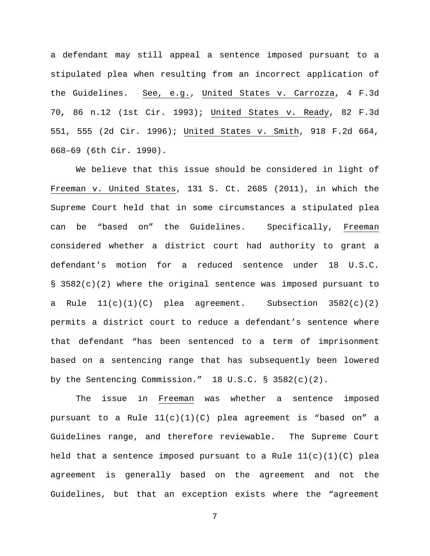a defendant may still appeal a sentence imposed pursuant to a stipulated plea when resulting from an incorrect application of the Guidelines. See, e.g., United States v. Carrozza, 4 F.3d 70, 86 n.12 (1st Cir. 1993); United States v. Ready, 82 F.3d 551, 555 (2d Cir. 1996); United States v. Smith, 918 F.2d 664, 668–69 (6th Cir. 1990).

We believe that this issue should be considered in light of Freeman v. United States, 131 S. Ct. 2685 (2011), in which the Supreme Court held that in some circumstances a stipulated plea can be "based on" the Guidelines. Specifically, Freeman considered whether a district court had authority to grant a defendant's motion for a reduced sentence under 18 U.S.C. § 3582(c)(2) where the original sentence was imposed pursuant to a Rule  $11(c)(1)(C)$  plea agreement. Subsection  $3582(c)(2)$ permits a district court to reduce a defendant's sentence where that defendant "has been sentenced to a term of imprisonment based on a sentencing range that has subsequently been lowered by the Sentencing Commission." 18 U.S.C. § 3582(c)(2).

The issue in Freeman was whether a sentence imposed pursuant to a Rule 11(c)(1)(C) plea agreement is "based on" a Guidelines range, and therefore reviewable. The Supreme Court held that a sentence imposed pursuant to a Rule  $11(c)(1)(C)$  plea agreement is generally based on the agreement and not the Guidelines, but that an exception exists where the "agreement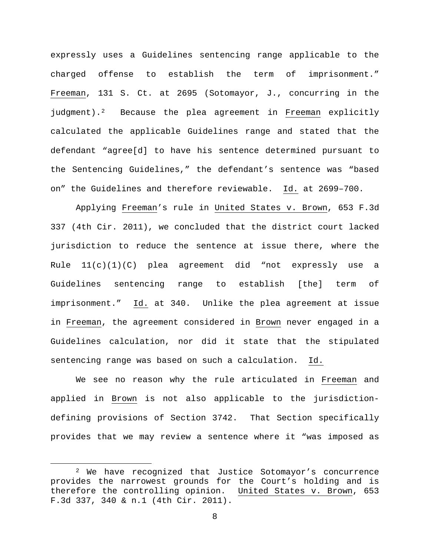expressly uses a Guidelines sentencing range applicable to the charged offense to establish the term of imprisonment." Freeman, 131 S. Ct. at 2695 (Sotomayor, J., concurring in the judgment).<sup>[2](#page-7-0)</sup> Because the plea agreement in Freeman explicitly calculated the applicable Guidelines range and stated that the defendant "agree[d] to have his sentence determined pursuant to the Sentencing Guidelines," the defendant's sentence was "based on" the Guidelines and therefore reviewable. Id. at 2699–700.

Applying Freeman's rule in United States v. Brown, 653 F.3d 337 (4th Cir. 2011), we concluded that the district court lacked jurisdiction to reduce the sentence at issue there, where the Rule  $11(c)(1)(c)$  plea agreement did "not expressly use a Guidelines sentencing range to establish [the] term of imprisonment." Id. at 340. Unlike the plea agreement at issue in Freeman, the agreement considered in Brown never engaged in a Guidelines calculation, nor did it state that the stipulated sentencing range was based on such a calculation. Id.

We see no reason why the rule articulated in Freeman and applied in Brown is not also applicable to the jurisdictiondefining provisions of Section 3742. That Section specifically provides that we may review a sentence where it "was imposed as

 $\overline{\phantom{a}}$ 

<span id="page-7-0"></span><sup>2</sup> We have recognized that Justice Sotomayor's concurrence provides the narrowest grounds for the Court's holding and is therefore the controlling opinion. United States v. Brown, 653 F.3d 337, 340 & n.1 (4th Cir. 2011).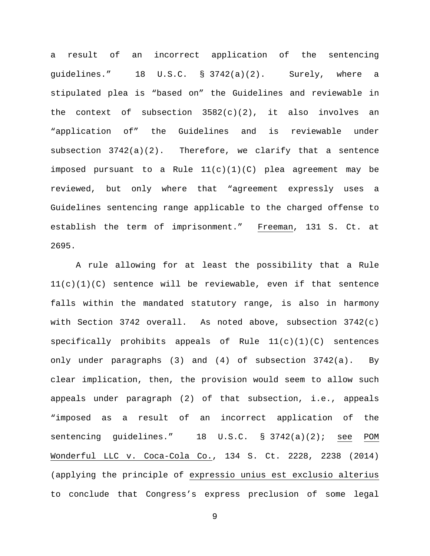a result of an incorrect application of the sentencing guidelines." 18 U.S.C. § 3742(a)(2). Surely, where a stipulated plea is "based on" the Guidelines and reviewable in the context of subsection  $3582(c)(2)$ , it also involves an "application of" the Guidelines and is reviewable under subsection  $3742(a)(2)$ . Therefore, we clarify that a sentence imposed pursuant to a Rule 11(c)(1)(C) plea agreement may be reviewed, but only where that "agreement expressly uses a Guidelines sentencing range applicable to the charged offense to establish the term of imprisonment." Freeman, 131 S. Ct. at 2695.

A rule allowing for at least the possibility that a Rule 11(c)(1)(C) sentence will be reviewable, even if that sentence falls within the mandated statutory range, is also in harmony with Section 3742 overall. As noted above, subsection  $3742(c)$ specifically prohibits appeals of Rule  $11(c)(1)(C)$  sentences only under paragraphs (3) and (4) of subsection 3742(a). By clear implication, then, the provision would seem to allow such appeals under paragraph (2) of that subsection, i.e., appeals "imposed as a result of an incorrect application of the sentencing guidelines." 18 U.S.C. § 3742(a)(2); see POM Wonderful LLC v. Coca-Cola Co., 134 S. Ct. 2228, 2238 (2014) (applying the principle of expressio unius est exclusio alterius to conclude that Congress's express preclusion of some legal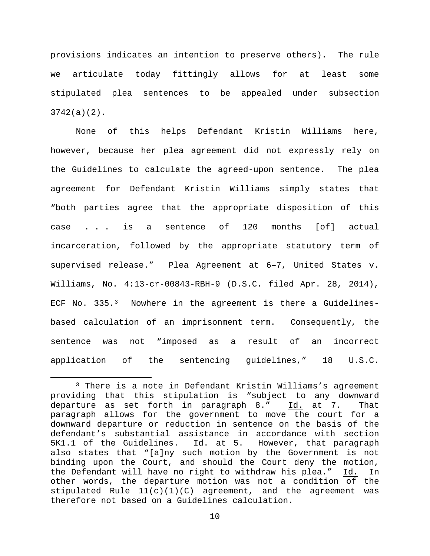provisions indicates an intention to preserve others). The rule we articulate today fittingly allows for at least some stipulated plea sentences to be appealed under subsection 3742(a)(2).

None of this helps Defendant Kristin Williams here, however, because her plea agreement did not expressly rely on the Guidelines to calculate the agreed-upon sentence. The plea agreement for Defendant Kristin Williams simply states that "both parties agree that the appropriate disposition of this case . . . is a sentence of 120 months [of] actual incarceration, followed by the appropriate statutory term of supervised release." Plea Agreement at 6–7, United States v. Williams, No. 4:13-cr-00843-RBH-9 (D.S.C. filed Apr. 28, 2014), ECF No. [3](#page-9-0)35.<sup>3</sup> Nowhere in the agreement is there a Guidelinesbased calculation of an imprisonment term. Consequently, the sentence was not "imposed as a result of an incorrect application of the sentencing guidelines," 18 U.S.C.

l

<span id="page-9-0"></span><sup>3</sup> There is a note in Defendant Kristin Williams's agreement providing that this stipulation is "subject to any downward departure as set forth in paragraph 8." Id. at 7. That paragraph allows for the government to move the court for a downward departure or reduction in sentence on the basis of the defendant's substantial assistance in accordance with section 5K1.1 of the Guidelines. Id. at 5. However, that paragraph also states that "[a]ny such motion by the Government is not binding upon the Court, and should the Court deny the motion,<br>the Defendant will have no right to withdraw his plea." Id. In the Defendant will have no right to withdraw his plea." Id. In other words, the departure motion was not a condition of the stipulated Rule  $11(c)(1)(C)$  agreement, and the agreement was therefore not based on a Guidelines calculation.